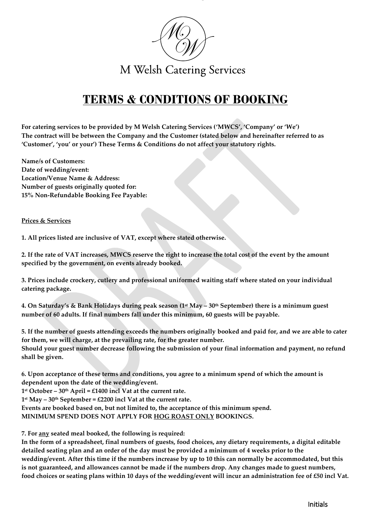

# **TERMS & CONDITIONS OF BOOKING**

**For catering services to be provided by M Welsh Catering Services ('MWCS', 'Company' or 'We') The contract will be between the Company and the Customer (stated below and hereinafter referred to as 'Customer', 'you' or your') These Terms & Conditions do not affect your statutory rights.**

**Name/s of Customers: Date of wedding/event: Location/Venue Name & Address: Number of guests originally quoted for: 15% Non-Refundable Booking Fee Payable:**

## **Prices & Services**

**1. All prices listed are inclusive of VAT, except where stated otherwise.**

**2. If the rate of VAT increases, MWCS reserve the right to increase the total cost of the event by the amount specified by the government, on events already booked.**

**3. Prices include crockery, cutlery and professional uniformed waiting staff where stated on your individual catering package.**

**4. On Saturday's & Bank Holidays during peak season (1st May – 30th September) there is a minimum guest number of 60 adults. If final numbers fall under this minimum, 60 guests will be payable.**

**5. If the number of guests attending exceeds the numbers originally booked and paid for, and we are able to cater for them, we will charge, at the prevailing rate, for the greater number. Should your guest number decrease following the submission of your final information and payment, no refund shall be given.**

**6. Upon acceptance of these terms and conditions, you agree to a minimum spend of which the amount is dependent upon the date of the wedding/event.**

**1 st October – 30th April = £1400 incl Vat at the current rate.**

**1 st May – 30th September = £2200 incl Vat at the current rate.**

**Events are booked based on, but not limited to, the acceptance of this minimum spend.**

**MINIMUM SPEND DOES NOT APPLY FOR HOG ROAST ONLY BOOKINGS.**

**7. For any seated meal booked, the following is required:**

**In the form of a spreadsheet, final numbers of guests, food choices, any dietary requirements, a digital editable detailed seating plan and an order of the day must be provided a minimum of 4 weeks prior to the wedding/event. After this time if the numbers increase by up to 10 this can normally be accommodated, but this is not guaranteed, and allowances cannot be made if the numbers drop. Any changes made to guest numbers, food choices or seating plans within 10 days of the wedding/event will incur an administration fee of £50 incl Vat.**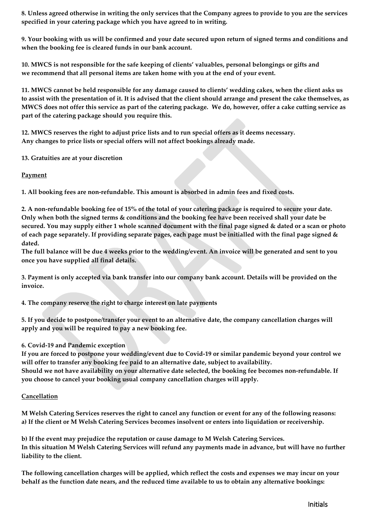**8. Unless agreed otherwise in writing the only services that the Company agrees to provide to you are the services specified in your catering package which you have agreed to in writing.**

**9. Your booking with us will be confirmed and your date secured upon return of signed terms and conditions and when the booking fee is cleared funds in our bank account.**

**10. MWCS is not responsible for the safe keeping of clients' valuables, personal belongings or gifts and we recommend that all personal items are taken home with you at the end of your event.**

**11. MWCS cannot be held responsible for any damage caused to clients' wedding cakes, when the client asks us to assist with the presentation of it. It is advised that the client should arrange and present the cake themselves, as MWCS does not offer this service as part of the catering package. We do, however, offer a cake cutting service as part of the catering package should you require this.**

**12. MWCS reserves the right to adjust price lists and to run special offers as it deems necessary. Any changes to price lists or special offers will not affect bookings already made.**

**13. Gratuities are at your discretion**

**Payment**

**1. All booking fees are non-refundable. This amount is absorbed in admin fees and fixed costs.**

**2. A non-refundable booking fee of 15% of the total of your catering package is required to secure your date. Only when both the signed terms & conditions and the booking fee have been received shall your date be secured. You may supply either 1 whole scanned document with the final page signed & dated or a scan or photo of each page separately. If providing separate pages, each page must be initialled with the final page signed & dated.**

**The full balance will be due 4 weeks prior to the wedding/event. An invoice will be generated and sent to you once you have supplied all final details.**

**3. Payment is only accepted via bank transfer into our company bank account. Details will be provided on the invoice.**

**4. The company reserve the right to charge interest on late payments**

**5. If you decide to postpone/transfer your event to an alternative date, the company cancellation charges will apply and you will be required to pay a new booking fee.**

**6. Covid-19 and Pandemic exception**

**If you are forced to postpone your wedding/event due to Covid-19 or similar pandemic beyond your control we will offer to transfer any booking fee paid to an alternative date, subject to availability. Should we not have availability on your alternative date selected, the booking fee becomes non-refundable. If you choose to cancel your booking usual company cancellation charges will apply.**

# **Cancellation**

**M Welsh Catering Services reserves the right to cancel any function or event for any of the following reasons: a) If the client or M Welsh Catering Services becomes insolvent or enters into liquidation or receivership.**

**b) If the event may prejudice the reputation or cause damage to M Welsh Catering Services. In this situation M Welsh Catering Services will refund any payments made in advance, but will have no further liability to the client.**

**The following cancellation charges will be applied, which reflect the costs and expenses we may incur on your behalf as the function date nears, and the reduced time available to us to obtain any alternative bookings:**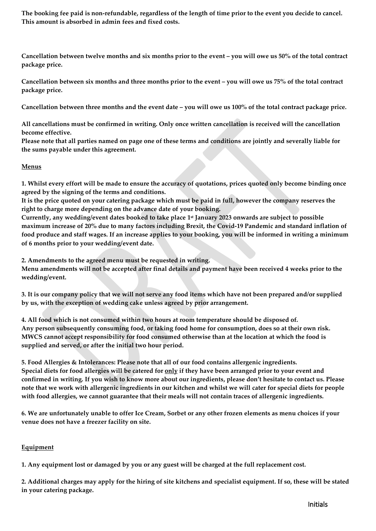**The booking fee paid is non-refundable, regardless of the length of time prior to the event you decide to cancel. This amount is absorbed in admin fees and fixed costs.**

**Cancellation between twelve months and six months prior to the event – you will owe us 50% of the total contract package price.**

**Cancellation between six months and three months prior to the event – you will owe us 75% of the total contract package price.**

**Cancellation between three months and the event date – you will owe us 100% of the total contract package price.**

**All cancellations must be confirmed in writing. Only once written cancellation is received will the cancellation become effective.**

**Please note that all parties named on page one of these terms and conditions are jointly and severally liable for the sums payable under this agreement.**

## **Menus**

**1. Whilst every effort will be made to ensure the accuracy of quotations, prices quoted only become binding once agreed by the signing of the terms and conditions.**

**It is the price quoted on your catering package which must be paid in full, however the company reserves the right to charge more depending on the advance date of your booking.**

**Currently, any wedding/event dates booked to take place 1 st January 2023 onwards are subject to possible maximum increase of 20% due to many factors including Brexit, the Covid-19 Pandemic and standard inflation of food produce and staff wages. If an increase applies to your booking, you will be informed in writing a minimum of 6 months prior to your wedding/event date.**

**2. Amendments to the agreed menu must be requested in writing. Menu amendments will not be accepted after final details and payment have been received 4 weeks prior to the wedding/event.**

**3. It is our company policy that we will not serve any food items which have not been prepared and/or supplied by us, with the exception of wedding cake unless agreed by prior arrangement.**

**4. All food which is not consumed within two hours at room temperature should be disposed of. Any person subsequently consuming food, or taking food home for consumption, does so at their own risk. MWCS cannot accept responsibility for food consumed otherwise than at the location at which the food is supplied and served, or after the initial two hour period.**

**5. Food Allergies & Intolerances: Please note that all of our food contains allergenic ingredients. Special diets for food allergies will be catered for only if they have been arranged prior to your event and confirmed in writing. If you wish to know more about our ingredients, please don't hesitate to contact us. Please note that we work with allergenic ingredients in our kitchen and whilst we will cater for special diets for people with food allergies, we cannot guarantee that their meals will not contain traces of allergenic ingredients.**

**6. We are unfortunately unable to offer Ice Cream, Sorbet or any other frozen elements as menu choices if your venue does not have a freezer facility on site.**

# **Equipment**

**1. Any equipment lost or damaged by you or any guest will be charged at the full replacement cost.**

**2. Additional charges may apply for the hiring of site kitchens and specialist equipment. If so, these will be stated in your catering package.**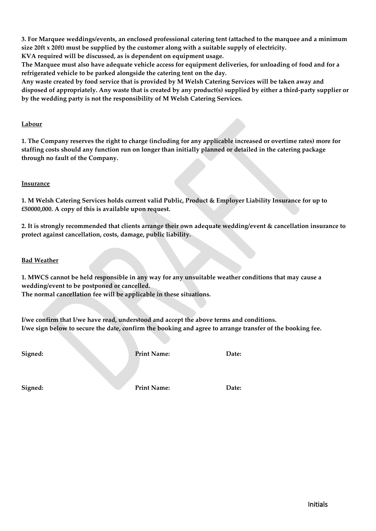**3. For Marquee weddings/events, an enclosed professional catering tent (attached to the marquee and a minimum size 20ft x 20ft) must be supplied by the customer along with a suitable supply of electricity.** 

**KVA required will be discussed, as is dependent on equipment usage.**

**The Marquee must also have adequate vehicle access for equipment deliveries, for unloading of food and for a refrigerated vehicle to be parked alongside the catering tent on the day.**

**Any waste created by food service that is provided by M Welsh Catering Services will be taken away and disposed of appropriately. Any waste that is created by any product(s) supplied by either a third-party supplier or by the wedding party is not the responsibility of M Welsh Catering Services.**

# **Labour**

**1. The Company reserves the right to charge (including for any applicable increased or overtime rates) more for staffing costs should any function run on longer than initially planned or detailed in the catering package through no fault of the Company.**

## **Insurance**

**1. M Welsh Catering Services holds current valid Public, Product & Employer Liability Insurance for up to £50000,000. A copy of this is available upon request.**

**2. It is strongly recommended that clients arrange their own adequate wedding/event & cancellation insurance to protect against cancellation, costs, damage, public liability.**

## **Bad Weather**

**1. MWCS cannot be held responsible in any way for any unsuitable weather conditions that may cause a wedding/event to be postponed or cancelled.**

**The normal cancellation fee will be applicable in these situations.**

**I/we confirm that I/we have read, understood and accept the above terms and conditions. I/we sign below to secure the date, confirm the booking and agree to arrange transfer of the booking fee.**

**Signed: Print Name: Date:**

**Signed: Print Name: Date:**